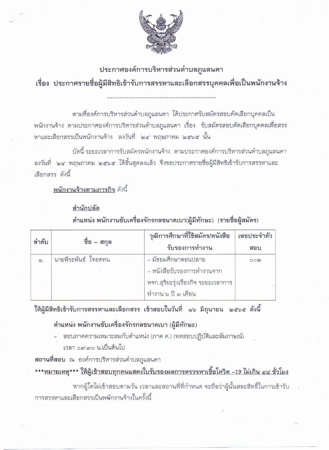

## ประกาศองค์การบริหารส่วนตำบลภูแลนคา เรื่อง ประกาศรายชื่อผู้มีสิทธิเข้ารับการสรรหาและเลือกสรรบุคคลเพื่อเป็นพนักงานจ้าง

ตามที่องค์การบริหารส่วนตำบลภูแลนคา ได้ประกาศรับสมัครสอบคัดเลือกบุคคลเป็น พนักงานจ้าง ตามประกาศองค์การบริหารส่วนตำบลภูแลนคา เรื่อง รับสมัครสอบคัดเลือกบุคคลเพื่อสรร หาและเลือกสรรเป็นพนักงานจ้าง ลงวันที่ ๒๔ พฤษภาคม ๒๕๖๕ นั้น

บัดนี้ ระยะเวลาการรับสมัครพนักงานจ้าง ตามประกาศองค์การบริหารส่วนตำบลภูแลนคา ้ลงวันที่ ๒๔ พฤษภาคม ๒๕๖๕ ได้สิ้นสุดลงแล้ว จึงขอประกาศรายชื่อผู้มีสิทธิเข้ารับการสรรหาและ ้เลือกสรร ดังนี้

<u>พนักงานจ้างตามภารกิจ</u> ดังนี้

## สำนักปลัด ตำแหน่ง พนักงานขับเครื่องจักรกลขนาดเบา(ผู้มีทักษะ) (รายชื่อผู้สมัคร)

| ลำดับ | ชื่อ – สกุล         | วุฒิการศึกษาที่ใช้สมัคร/หนังสือ    | เลขประจำตัว |
|-------|---------------------|------------------------------------|-------------|
|       |                     | รับรองการทำงาน                     | สอบ         |
| ෧.    | นายพีระพันธ์ ใจอดทน | - มัธยมศึกษาตอนปลาย                | $\circ$ olg |
|       |                     | - หนังสือรับรองการทำงานจาก         |             |
|       |                     | หจก.สุริยะรุ่งเรืองกิจ ระยะเวลาการ |             |
|       |                     | ทำงาน ๖ ปี ๓ เดือน                 |             |

ให้ผู้มีสิทธิเข้ารับการสรรหาและเลือกสรร เข้าสอบในวันที่ ๑๖ มิถุนายน ๒๕๖๕ ดังนี้

## ตำแหน่ง พนักงานขับเครื่องจักรกลขนาดเบา (ผู้มีทักษะ)

- สอบภาคความเหมาะสมกับตำแหน่ง (ภาค ค.) (ทดสอบปฏิบัติและสัมภาษณ์)
	- เวลา ๐๙.๓๐ น.เป็นต้นไป

**สถานที่สอบ** ณ องค์การบริหารส่วนตำบลภูแลนคา

<u>\*\*\*หมายเหตุ\*\*\* ให้ผู้เข้าสอบทุกคนแสดงใบรับรองผลการตรวจหาเชื้อโควิด -19 ไม่เกิน ๔๘ ชั่วโมง</u>

หากผู้ใดไม่เข้าสอบตามวัน เวลาและสถานที่ที่กำหนด จะถือว่าผู้นั้นสละสิทธิ์ในการเข้ารับ การสรรหาและเลือกสรรเป็นพนักงานจ้างในครั้งนี้